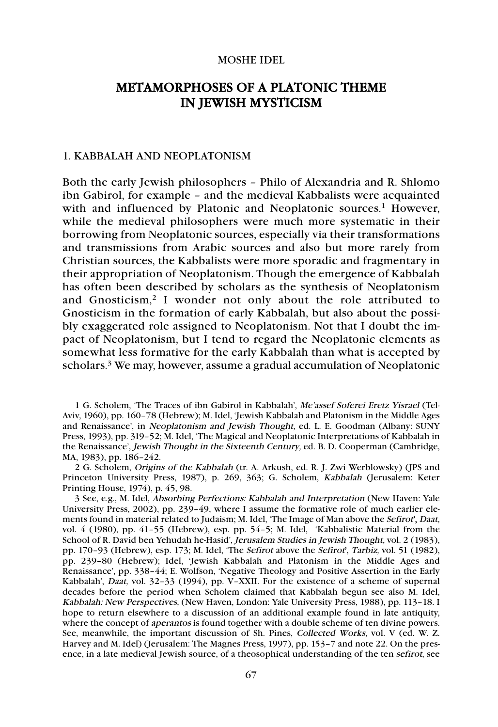#### MOSHE IDEL

# METAMORPHOSES OF A PLATONIC THEME IN JEWISH MYSTICISM

## 1. KABBALAH AND NEOPLATONISM

Both the early Jewish philosophers – Philo of Alexandria and R. Shlomo ibn Gabirol, for example – and the medieval Kabbalists were acquainted with and influenced by Platonic and Neoplatonic sources.<sup>1</sup> However, while the medieval philosophers were much more systematic in their borrowing from Neoplatonic sources, especially via their transformations and transmissions from Arabic sources and also but more rarely from Christian sources, the Kabbalists were more sporadic and fragmentary in their appropriation of Neoplatonism. Though the emergence of Kabbalah has often been described by scholars as the synthesis of Neoplatonism and Gnosticism,<sup>2</sup> I wonder not only about the role attributed to Gnosticism in the formation of early Kabbalah, but also about the possibly exaggerated role assigned to Neoplatonism. Not that I doubt the impact of Neoplatonism, but I tend to regard the Neoplatonic elements as somewhat less formative for the early Kabbalah than what is accepted by scholars.3 We may, however, assume a gradual accumulation of Neoplatonic

1 G. Scholem, 'The Traces of ibn Gabirol in Kabbalah', Me'assef Soferei Eretz Yisrael (Tel-Aviv, 1960), pp. 160–78 (Hebrew); M. Idel, 'Jewish Kabbalah and Platonism in the Middle Ages and Renaissance', in Neoplatonism and Jewish Thought, ed. L. E. Goodman (Albany: SUNY Press, 1993), pp. 319–52; M. Idel, 'The Magical and Neoplatonic Interpretations of Kabbalah in the Renaissance', Jewish Thought in the Sixteenth Century, ed. B. D. Cooperman (Cambridge, MA, 1983), pp. 186–242.

2 G. Scholem, Origins of the Kabbalah (tr. A. Arkush, ed. R. J. Zwi Werblowsky) (JPS and Princeton University Press, 1987), p. 269, 363; G. Scholem, Kabbalah (Jerusalem: Keter Printing House, 1974), p. 45, 98.

3 See, e.g., M. Idel, Absorbing Perfections: Kabbalah and Interpretation (New Haven: Yale University Press, 2002), pp. 239–49, where I assume the formative role of much earlier elements found in material related to Judaism; M. Idel, 'The Image of Man above the Sefirot', Daat, vol. 4 (1980), pp. 41–55 (Hebrew), esp. pp. 54–5; M. Idel, 'Kabbalistic Material from the School of R. David ben Yehudah he-Hasid', Jerusalem Studies in Jewish Thought, vol. 2 (1983), pp. 170–93 (Hebrew), esp. 173; M. Idel, 'The Sefirot above the Sefirot', Tarbiz, vol. 51 (1982), pp. 239–80 (Hebrew); Idel, 'Jewish Kabbalah and Platonism in the Middle Ages and Renaissance', pp. 338–44; E. Wolfson, 'Negative Theology and Positive Assertion in the Early Kabbalah', Daat, vol. 32–33 (1994), pp. V–XXII. For the existence of a scheme of supernal decades before the period when Scholem claimed that Kabbalah begun see also M. Idel, Kabbalah: New Perspectives, (New Haven, London: Yale University Press, 1988), pp. 113–18. I hope to return elsewhere to a discussion of an additional example found in late antiquity, where the concept of aperantos is found together with a double scheme of ten divine powers. See, meanwhile, the important discussion of Sh. Pines, Collected Works, vol. V (ed. W. Z. Harvey and M. Idel) (Jerusalem: The Magnes Press, 1997), pp. 153–7 and note 22. On the presence, in a late medieval Jewish source, of a theosophical understanding of the ten sefirot, see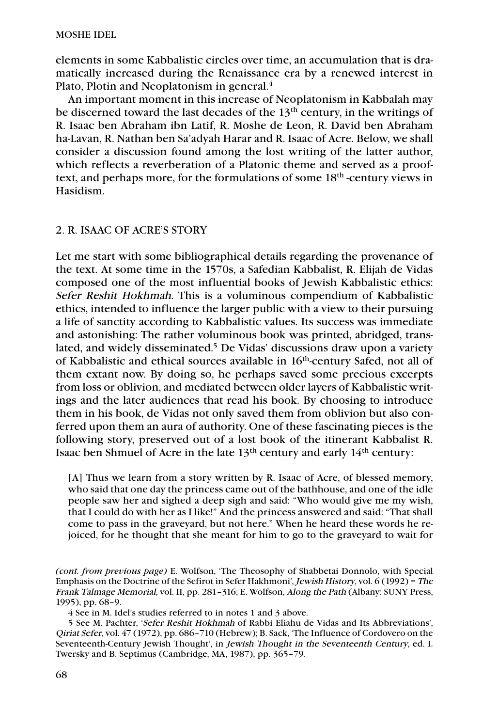elements in some Kabbalistic circles over time, an accumulation that is dramatically increased during the Renaissance era by a renewed interest in Plato, Plotin and Neoplatonism in general. $4$ 

An important moment in this increase of Neoplatonism in Kabbalah may be discerned toward the last decades of the 13th century, in the writings of R. Isaac ben Abraham ibn Latif, R. Moshe de Leon, R. David ben Abraham ha-Lavan, R. Nathan ben Sa'adyah Harar and R. Isaac of Acre. Below, we shall consider a discussion found among the lost writing of the latter author, which reflects a reverberation of a Platonic theme and served as a prooftext, and perhaps more, for the formulations of some 18th -century views in Hasidism.

#### 2. R. ISAAC OF ACRE'S STORY

Let me start with some bibliographical details regarding the provenance of the text. At some time in the 1570s, a Safedian Kabbalist, R. Elijah de Vidas composed one of the most influential books of Jewish Kabbalistic ethics: Sefer Reshit Hokhmah. This is a voluminous compendium of Kabbalistic ethics, intended to influence the larger public with a view to their pursuing a life of sanctity according to Kabbalistic values. Its success was immediate and astonishing: The rather voluminous book was printed, abridged, translated, and widely disseminated.<sup>5</sup> De Vidas' discussions draw upon a variety of Kabbalistic and ethical sources available in 16th-century Safed, not all of them extant now. By doing so, he perhaps saved some precious excerpts from loss or oblivion, and mediated between older layers of Kabbalistic writings and the later audiences that read his book. By choosing to introduce them in his book, de Vidas not only saved them from oblivion but also conferred upon them an aura of authority. One of these fascinating pieces is the following story, preserved out of a lost book of the itinerant Kabbalist R. Isaac ben Shmuel of Acre in the late 13th century and early 14th century:

[A] Thus we learn from a story written by R. Isaac of Acre, of blessed memory, who said that one day the princess came out of the bathhouse, and one of the idle people saw her and sighed a deep sigh and said: "Who would give me my wish, that I could do with her as I like!" And the princess answered and said: "That shall come to pass in the graveyard, but not here." When he heard these words he rejoiced, for he thought that she meant for him to go to the graveyard to wait for

*(cont. from previous page)* E. Wolfson, 'The Theosophy of Shabbetai Donnolo, with Special Emphasis on the Doctrine of the Sefirot in Sefer Hakhmoni', Jewish History, vol. 6 (1992) = The Frank Talmage Memorial, vol. II, pp. 281–316; E. Wolfson, Along the Path (Albany: SUNY Press, 1995), pp. 68–9.

4 See in M. Idel's studies referred to in notes 1 and 3 above.

5 See M. Pachter, 'Sefer Reshit Hokhmah of Rabbi Eliahu de Vidas and Its Abbreviations', Qiriat Sefer, vol. 47 (1972), pp. 686–710 (Hebrew); B. Sack, 'The Influence of Cordovero on the Seventeenth-Century Jewish Thought', in Jewish Thought in the Seventeenth Century, ed. I. Twersky and B. Septimus (Cambridge, MA, 1987), pp. 365–79.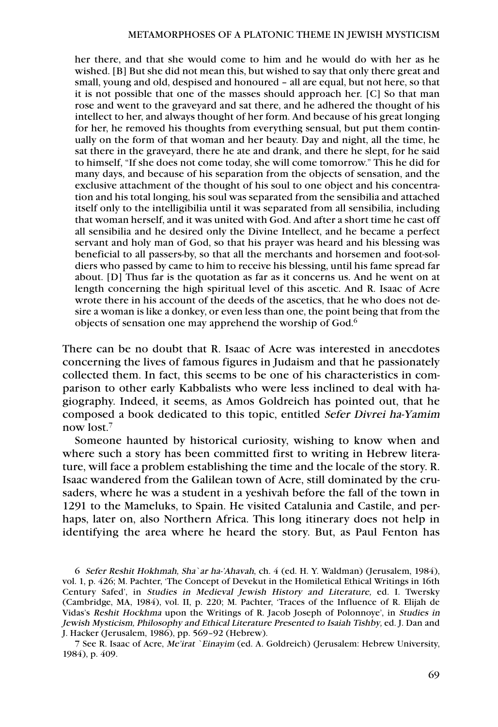her there, and that she would come to him and he would do with her as he wished. [B] But she did not mean this, but wished to say that only there great and small, young and old, despised and honoured – all are equal, but not here, so that it is not possible that one of the masses should approach her. [C] So that man rose and went to the graveyard and sat there, and he adhered the thought of his intellect to her, and always thought of her form. And because of his great longing for her, he removed his thoughts from everything sensual, but put them continually on the form of that woman and her beauty. Day and night, all the time, he sat there in the graveyard, there he ate and drank, and there he slept, for he said to himself, "If she does not come today, she will come tomorrow." This he did for many days, and because of his separation from the objects of sensation, and the exclusive attachment of the thought of his soul to one object and his concentration and his total longing, his soul was separated from the sensibilia and attached itself only to the intelligibilia until it was separated from all sensibilia, including that woman herself, and it was united with God. And after a short time he cast off all sensibilia and he desired only the Divine Intellect, and he became a perfect servant and holy man of God, so that his prayer was heard and his blessing was beneficial to all passers-by, so that all the merchants and horsemen and foot-soldiers who passed by came to him to receive his blessing, until his fame spread far about. [D] Thus far is the quotation as far as it concerns us. And he went on at length concerning the high spiritual level of this ascetic. And R. Isaac of Acre wrote there in his account of the deeds of the ascetics, that he who does not desire a woman is like a donkey, or even less than one, the point being that from the objects of sensation one may apprehend the worship of God.6

There can be no doubt that R. Isaac of Acre was interested in anecdotes concerning the lives of famous figures in Judaism and that he passionately collected them. In fact, this seems to be one of his characteristics in comparison to other early Kabbalists who were less inclined to deal with hagiography. Indeed, it seems, as Amos Goldreich has pointed out, that he composed a book dedicated to this topic, entitled Sefer Divrei ha-Yamim now lost.7

Someone haunted by historical curiosity, wishing to know when and where such a story has been committed first to writing in Hebrew literature, will face a problem establishing the time and the locale of the story. R. Isaac wandered from the Galilean town of Acre, still dominated by the crusaders, where he was a student in a yeshivah before the fall of the town in 1291 to the Mameluks, to Spain. He visited Catalunia and Castile, and perhaps, later on, also Northern Africa. This long itinerary does not help in identifying the area where he heard the story. But, as Paul Fenton has

6 Sefer Reshit Hokhmah, Sha`ar ha-'Ahavah, ch. 4 (ed. H. Y. Waldman) (Jerusalem, 1984), vol. 1, p. 426; M. Pachter, 'The Concept of Devekut in the Homiletical Ethical Writings in 16th Century Safed', in Studies in Medieval Jewish History and Literature, ed. I. Twersky (Cambridge, MA, 1984), vol. II, p. 220; M. Pachter, 'Traces of the Influence of R. Elijah de Vidas's Reshit Hockhma upon the Writings of R. Jacob Joseph of Polonnoye', in Studies in Jewish Mysticism, Philosophy and Ethical Literature Presented to Isaiah Tishby, ed. J. Dan and J. Hacker (Jerusalem, 1986), pp. 569–92 (Hebrew).

7 See R. Isaac of Acre, Me'irat `Einayim (ed. A. Goldreich) (Jerusalem: Hebrew University, 1984), p. 409.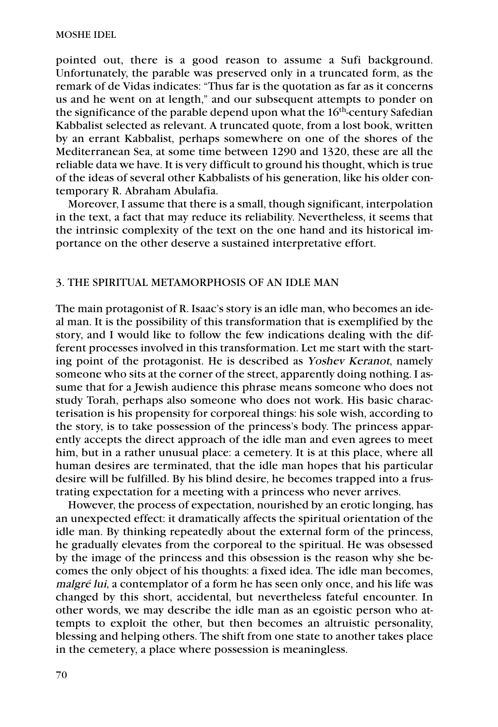pointed out, there is a good reason to assume a Sufi background. Unfortunately, the parable was preserved only in a truncated form, as the remark of de Vidas indicates: "Thus far is the quotation as far as it concerns us and he went on at length," and our subsequent attempts to ponder on the significance of the parable depend upon what the 16<sup>th</sup>-century Safedian Kabbalist selected as relevant. A truncated quote, from a lost book, written by an errant Kabbalist, perhaps somewhere on one of the shores of the Mediterranean Sea, at some time between 1290 and 1320, these are all the reliable data we have. It is very difficult to ground his thought, which is true of the ideas of several other Kabbalists of his generation, like his older contemporary R. Abraham Abulafia.

Moreover, I assume that there is a small, though significant, interpolation in the text, a fact that may reduce its reliability. Nevertheless, it seems that the intrinsic complexity of the text on the one hand and its historical importance on the other deserve a sustained interpretative effort.

## 3. THE SPIRITUAL METAMORPHOSIS OF AN IDLE MAN

The main protagonist of R. Isaac's story is an idle man, who becomes an ideal man. It is the possibility of this transformation that is exemplified by the story, and I would like to follow the few indications dealing with the different processes involved in this transformation. Let me start with the starting point of the protagonist. He is described as Yoshev Keranot, namely someone who sits at the corner of the street, apparently doing nothing. I assume that for a Jewish audience this phrase means someone who does not study Torah, perhaps also someone who does not work. His basic characterisation is his propensity for corporeal things: his sole wish, according to the story, is to take possession of the princess's body. The princess apparently accepts the direct approach of the idle man and even agrees to meet him, but in a rather unusual place: a cemetery. It is at this place, where all human desires are terminated, that the idle man hopes that his particular desire will be fulfilled. By his blind desire, he becomes trapped into a frustrating expectation for a meeting with a princess who never arrives.

However, the process of expectation, nourished by an erotic longing, has an unexpected effect: it dramatically affects the spiritual orientation of the idle man. By thinking repeatedly about the external form of the princess, he gradually elevates from the corporeal to the spiritual. He was obsessed by the image of the princess and this obsession is the reason why she becomes the only object of his thoughts: a fixed idea. The idle man becomes, malgré lui, a contemplator of a form he has seen only once, and his life was changed by this short, accidental, but nevertheless fateful encounter. In other words, we may describe the idle man as an egoistic person who attempts to exploit the other, but then becomes an altruistic personality, blessing and helping others. The shift from one state to another takes place in the cemetery, a place where possession is meaningless.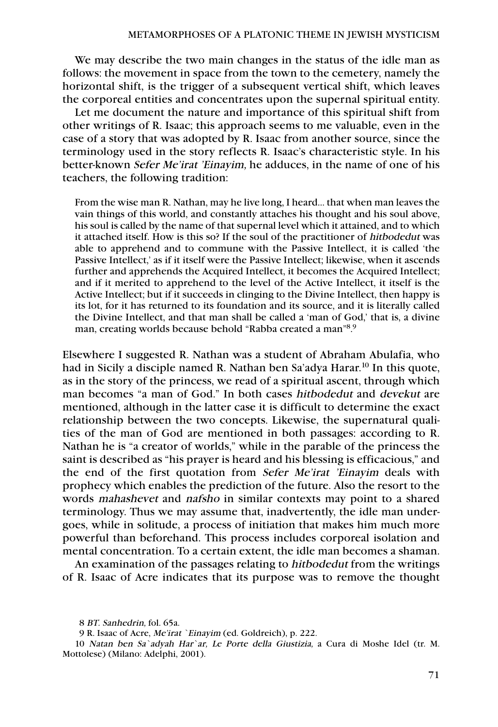We may describe the two main changes in the status of the idle man as follows: the movement in space from the town to the cemetery, namely the horizontal shift, is the trigger of a subsequent vertical shift, which leaves the corporeal entities and concentrates upon the supernal spiritual entity.

Let me document the nature and importance of this spiritual shift from other writings of R. Isaac; this approach seems to me valuable, even in the case of a story that was adopted by R. Isaac from another source, since the terminology used in the story reflects R. Isaac's characteristic style. In his better-known Sefer Me'irat 'Einayim, he adduces, in the name of one of his teachers, the following tradition:

From the wise man R. Nathan, may he live long, I heard… that when man leaves the vain things of this world, and constantly attaches his thought and his soul above, his soul is called by the name of that supernal level which it attained, and to which it attached itself. How is this so? If the soul of the practitioner of hitbodedut was able to apprehend and to commune with the Passive Intellect, it is called 'the Passive Intellect,' as if it itself were the Passive Intellect; likewise, when it ascends further and apprehends the Acquired Intellect, it becomes the Acquired Intellect; and if it merited to apprehend to the level of the Active Intellect, it itself is the Active Intellect; but if it succeeds in clinging to the Divine Intellect, then happy is its lot, for it has returned to its foundation and its source, and it is literally called the Divine Intellect, and that man shall be called a 'man of God,' that is, a divine man, creating worlds because behold "Rabba created a man"8. 9

Elsewhere I suggested R. Nathan was a student of Abraham Abulafia, who had in Sicily a disciple named R. Nathan ben Sa'adya Harar. <sup>10</sup> In this quote, as in the story of the princess, we read of a spiritual ascent, through which man becomes "a man of God." In both cases hitbodedut and devekut are mentioned, although in the latter case it is difficult to determine the exact relationship between the two concepts. Likewise, the supernatural qualities of the man of God are mentioned in both passages: according to R. Nathan he is "a creator of worlds," while in the parable of the princess the saint is described as "his prayer is heard and his blessing is efficacious," and the end of the first quotation from Sefer Me'irat 'Einayim deals with prophecy which enables the prediction of the future. Also the resort to the words mahashevet and nafsho in similar contexts may point to a shared terminology. Thus we may assume that, inadvertently, the idle man undergoes, while in solitude, a process of initiation that makes him much more powerful than beforehand. This process includes corporeal isolation and mental concentration. To a certain extent, the idle man becomes a shaman.

An examination of the passages relating to hitbodedut from the writings of R. Isaac of Acre indicates that its purpose was to remove the thought

<sup>8</sup> BT. Sanhedrin, fol. 65a.

<sup>9</sup> R. Isaac of Acre, Me'irat `Einayim (ed. Goldreich), p. 222.

<sup>10</sup> Natan ben Sa`adyah Har`ar, Le Porte della Giustizia, a Cura di Moshe Idel (tr. M. Mottolese) (Milano: Adelphi, 2001).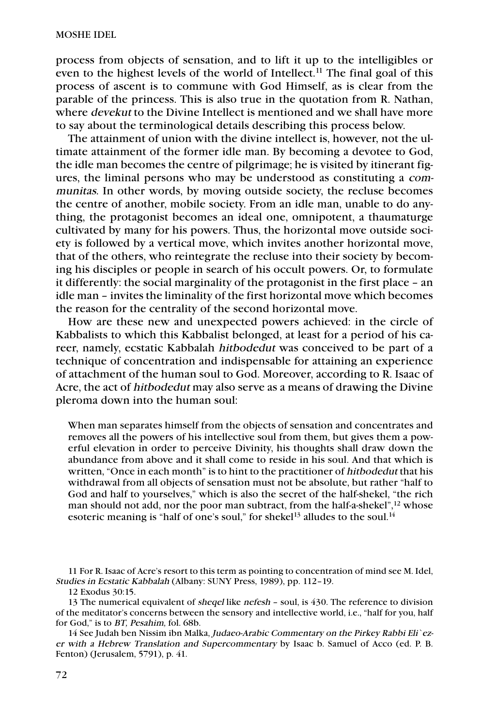process from objects of sensation, and to lift it up to the intelligibles or even to the highest levels of the world of Intellect.<sup>11</sup> The final goal of this process of ascent is to commune with God Himself, as is clear from the parable of the princess. This is also true in the quotation from R. Nathan, where devekut to the Divine Intellect is mentioned and we shall have more to say about the terminological details describing this process below.

The attainment of union with the divine intellect is, however, not the ultimate attainment of the former idle man. By becoming a devotee to God, the idle man becomes the centre of pilgrimage; he is visited by itinerant figures, the liminal persons who may be understood as constituting a communitas. In other words, by moving outside society, the recluse becomes the centre of another, mobile society. From an idle man, unable to do anything, the protagonist becomes an ideal one, omnipotent, a thaumaturge cultivated by many for his powers. Thus, the horizontal move outside society is followed by a vertical move, which invites another horizontal move, that of the others, who reintegrate the recluse into their society by becoming his disciples or people in search of his occult powers. Or, to formulate it differently: the social marginality of the protagonist in the first place – an idle man – invites the liminality of the first horizontal move which becomes the reason for the centrality of the second horizontal move.

How are these new and unexpected powers achieved: in the circle of Kabbalists to which this Kabbalist belonged, at least for a period of his career, namely, ecstatic Kabbalah hitbodedut was conceived to be part of a technique of concentration and indispensable for attaining an experience of attachment of the human soul to God. Moreover, according to R. Isaac of Acre, the act of hitbodedut may also serve as a means of drawing the Divine pleroma down into the human soul:

When man separates himself from the objects of sensation and concentrates and removes all the powers of his intellective soul from them, but gives them a powerful elevation in order to perceive Divinity, his thoughts shall draw down the abundance from above and it shall come to reside in his soul. And that which is written, "Once in each month" is to hint to the practitioner of hitbodedut that his withdrawal from all objects of sensation must not be absolute, but rather "half to God and half to yourselves," which is also the secret of the half-shekel, "the rich man should not add, nor the poor man subtract, from the half-a-shekel",<sup>12</sup> whose esoteric meaning is "half of one's soul," for shekel<sup>13</sup> alludes to the soul.<sup>14</sup>

11 For R. Isaac of Acre's resort to this term as pointing to concentration of mind see M. Idel, Studies in Ecstatic Kabbalah (Albany: SUNY Press, 1989), pp. 112–19.

12 Exodus 30:15.

13 The numerical equivalent of *sheqel* like *nefesh* – soul, is 430. The reference to division of the meditator's concerns between the sensory and intellective world, i.e., "half for you, half for God," is to BT, Pesahim, fol. 68b.

14 See Judah ben Nissim ibn Malka, Judaeo-Arabic Commentary on the Pirkey Rabbi Eli`ezer with a Hebrew Translation and Supercommentary by Isaac b. Samuel of Acco (ed. P. B. Fenton) (Jerusalem, 5791), p. 41.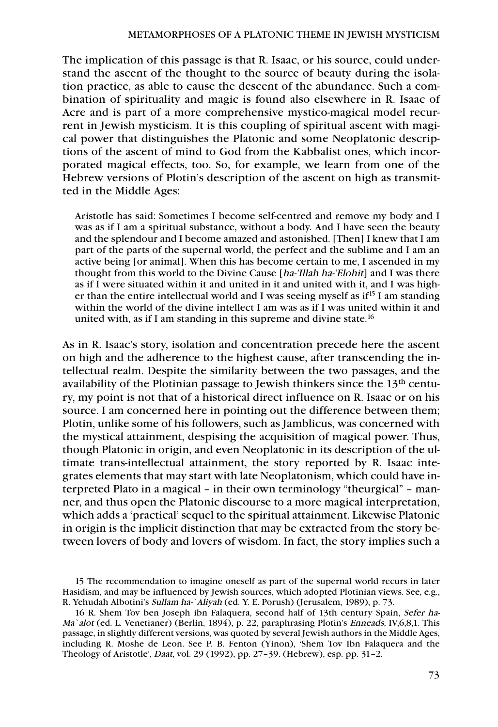The implication of this passage is that R. Isaac, or his source, could understand the ascent of the thought to the source of beauty during the isolation practice, as able to cause the descent of the abundance. Such a combination of spirituality and magic is found also elsewhere in R. Isaac of Acre and is part of a more comprehensive mystico-magical model recurrent in Jewish mysticism. It is this coupling of spiritual ascent with magical power that distinguishes the Platonic and some Neoplatonic descriptions of the ascent of mind to God from the Kabbalist ones, which incorporated magical effects, too. So, for example, we learn from one of the Hebrew versions of Plotin's description of the ascent on high as transmitted in the Middle Ages:

Aristotle has said: Sometimes I become self-centred and remove my body and I was as if I am a spiritual substance, without a body. And I have seen the beauty and the splendour and I become amazed and astonished. [Then] I knew that I am part of the parts of the supernal world, the perfect and the sublime and I am an active being [or animal]. When this has become certain to me, I ascended in my thought from this world to the Divine Cause [ha-'Illah ha-'Elohit] and I was there as if I were situated within it and united in it and united with it, and I was higher than the entire intellectual world and I was seeing myself as if<sup>15</sup> I am standing within the world of the divine intellect I am was as if I was united within it and united with, as if I am standing in this supreme and divine state.<sup>16</sup>

As in R. Isaac's story, isolation and concentration precede here the ascent on high and the adherence to the highest cause, after transcending the intellectual realm. Despite the similarity between the two passages, and the availability of the Plotinian passage to Jewish thinkers since the 13th century, my point is not that of a historical direct influence on R. Isaac or on his source. I am concerned here in pointing out the difference between them; Plotin, unlike some of his followers, such as Jamblicus, was concerned with the mystical attainment, despising the acquisition of magical power. Thus, though Platonic in origin, and even Neoplatonic in its description of the ultimate trans-intellectual attainment, the story reported by R. Isaac integrates elements that may start with late Neoplatonism, which could have interpreted Plato in a magical – in their own terminology "theurgical" – manner, and thus open the Platonic discourse to a more magical interpretation, which adds a 'practical' sequel to the spiritual attainment. Likewise Platonic in origin is the implicit distinction that may be extracted from the story between lovers of body and lovers of wisdom. In fact, the story implies such a

<sup>15</sup> The recommendation to imagine oneself as part of the supernal world recurs in later Hasidism, and may be influenced by Jewish sources, which adopted Plotinian views. See, e.g., R. Yehudah Albotini's Sullam ha-`Aliyah (ed. Y. E. Porush) (Jerusalem, 1989), p. 73.

<sup>16</sup> R. Shem Tov ben Joseph ibn Falaquera, second half of 13th century Spain, Sefer ha-Ma`alot (ed. L. Venetianer) (Berlin, 1894), p. 22, paraphrasing Plotin's Enneads, IV,6,8,1. This passage, in slightly different versions, was quoted by several Jewish authors in the Middle Ages, including R. Moshe de Leon. See P. B. Fenton (Yinon), 'Shem Tov Ibn Falaquera and the Theology of Aristotle', Daat, vol. 29 (1992), pp. 27–39. (Hebrew), esp. pp. 31–2.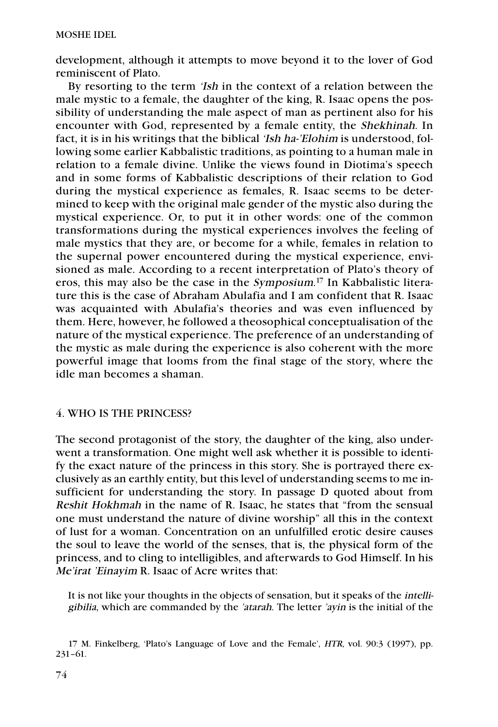development, although it attempts to move beyond it to the lover of God reminiscent of Plato.

By resorting to the term 'Ish in the context of a relation between the male mystic to a female, the daughter of the king, R. Isaac opens the possibility of understanding the male aspect of man as pertinent also for his encounter with God, represented by a female entity, the Shekhinah. In fact, it is in his writings that the biblical 'Ish ha-'Elohim is understood, following some earlier Kabbalistic traditions, as pointing to a human male in relation to a female divine. Unlike the views found in Diotima's speech and in some forms of Kabbalistic descriptions of their relation to God during the mystical experience as females, R. Isaac seems to be determined to keep with the original male gender of the mystic also during the mystical experience. Or, to put it in other words: one of the common transformations during the mystical experiences involves the feeling of male mystics that they are, or become for a while, females in relation to the supernal power encountered during the mystical experience, envisioned as male. According to a recent interpretation of Plato's theory of eros, this may also be the case in the *Symposium*.<sup>17</sup> In Kabbalistic literature this is the case of Abraham Abulafia and I am confident that R. Isaac was acquainted with Abulafia's theories and was even influenced by them. Here, however, he followed a theosophical conceptualisation of the nature of the mystical experience. The preference of an understanding of the mystic as male during the experience is also coherent with the more powerful image that looms from the final stage of the story, where the idle man becomes a shaman.

# 4. WHO IS THE PRINCESS?

The second protagonist of the story, the daughter of the king, also underwent a transformation. One might well ask whether it is possible to identify the exact nature of the princess in this story. She is portrayed there exclusively as an earthly entity, but this level of understanding seems to me insufficient for understanding the story. In passage D quoted about from Reshit Hokhmah in the name of R. Isaac, he states that "from the sensual one must understand the nature of divine worship" all this in the context of lust for a woman. Concentration on an unfulfilled erotic desire causes the soul to leave the world of the senses, that is, the physical form of the princess, and to cling to intelligibles, and afterwards to God Himself. In his Me'irat 'Einayim R. Isaac of Acre writes that:

It is not like your thoughts in the objects of sensation, but it speaks of the intelligibilia, which are commanded by the 'atarah. The letter 'ayin is the initial of the

<sup>17</sup> M. Finkelberg, 'Plato's Language of Love and the Female', HTR, vol. 90:3 (1997), pp. 231–61.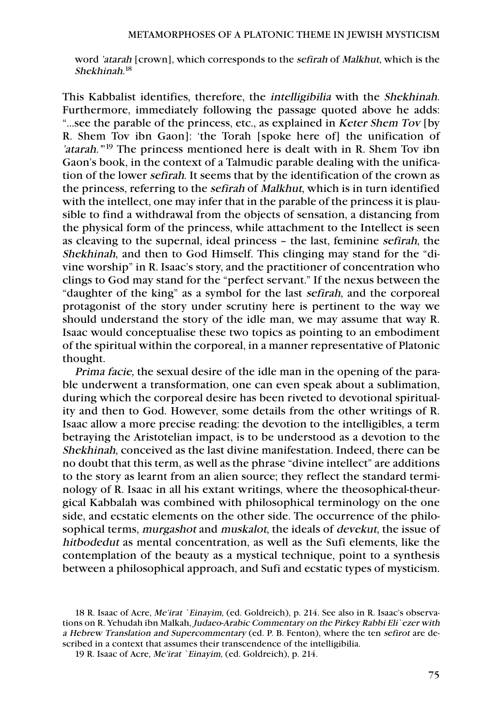word 'atarah [crown], which corresponds to the sefirah of Malkhut, which is the Shekhinah. 18

This Kabbalist identifies, therefore, the intelligibilia with the Shekhinah. Furthermore, immediately following the passage quoted above he adds: "…see the parable of the princess, etc., as explained in Keter Shem Tov [by R. Shem Tov ibn Gaon]: 'the Torah [spoke here of] the unification of 'atarah."<sup>19</sup> The princess mentioned here is dealt with in R. Shem Tov ibn Gaon's book, in the context of a Talmudic parable dealing with the unification of the lower sefirah. It seems that by the identification of the crown as the princess, referring to the sefirah of Malkhut, which is in turn identified with the intellect, one may infer that in the parable of the princess it is plausible to find a withdrawal from the objects of sensation, a distancing from the physical form of the princess, while attachment to the Intellect is seen as cleaving to the supernal, ideal princess – the last, feminine sefirah, the Shekhinah, and then to God Himself. This clinging may stand for the "divine worship" in R. Isaac's story, and the practitioner of concentration who clings to God may stand for the "perfect servant." If the nexus between the "daughter of the king" as a symbol for the last sefirah, and the corporeal protagonist of the story under scrutiny here is pertinent to the way we should understand the story of the idle man, we may assume that way R. Isaac would conceptualise these two topics as pointing to an embodiment of the spiritual within the corporeal, in a manner representative of Platonic thought.

Prima facie, the sexual desire of the idle man in the opening of the parable underwent a transformation, one can even speak about a sublimation, during which the corporeal desire has been riveted to devotional spirituality and then to God. However, some details from the other writings of R. Isaac allow a more precise reading: the devotion to the intelligibles, a term betraying the Aristotelian impact, is to be understood as a devotion to the Shekhinah, conceived as the last divine manifestation. Indeed, there can be no doubt that this term, as well as the phrase "divine intellect" are additions to the story as learnt from an alien source; they reflect the standard terminology of R. Isaac in all his extant writings, where the theosophical-theurgical Kabbalah was combined with philosophical terminology on the one side, and ecstatic elements on the other side. The occurrence of the philosophical terms, murgashot and muskalot, the ideals of devekut, the issue of hitbodedut as mental concentration, as well as the Sufi elements, like the contemplation of the beauty as a mystical technique, point to a synthesis between a philosophical approach, and Sufi and ecstatic types of mysticism.

18 R. Isaac of Acre, Me'irat `Einayim, (ed. Goldreich), p. 214. See also in R. Isaac's observations on R. Yehudah ibn Malkah, Judaeo-Arabic Commentary on the Pirkey Rabbi Eli`ezer with a Hebrew Translation and Supercommentary (ed. P. B. Fenton), where the ten sefirot are described in a context that assumes their transcendence of the intelligibilia.

19 R. Isaac of Acre, Me'irat `Einayim, (ed. Goldreich), p. 214.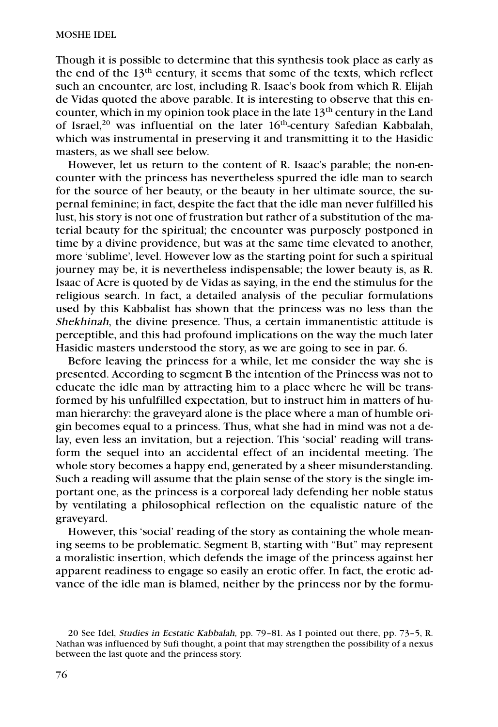Though it is possible to determine that this synthesis took place as early as the end of the  $13<sup>th</sup>$  century, it seems that some of the texts, which reflect such an encounter, are lost, including R. Isaac's book from which R. Elijah de Vidas quoted the above parable. It is interesting to observe that this encounter, which in my opinion took place in the late  $13<sup>th</sup>$  century in the Land of Israel,<sup>20</sup> was influential on the later 16<sup>th</sup>-century Safedian Kabbalah, which was instrumental in preserving it and transmitting it to the Hasidic masters, as we shall see below.

However, let us return to the content of R. Isaac's parable; the non-encounter with the princess has nevertheless spurred the idle man to search for the source of her beauty, or the beauty in her ultimate source, the supernal feminine; in fact, despite the fact that the idle man never fulfilled his lust, his story is not one of frustration but rather of a substitution of the material beauty for the spiritual; the encounter was purposely postponed in time by a divine providence, but was at the same time elevated to another, more 'sublime', level. However low as the starting point for such a spiritual journey may be, it is nevertheless indispensable; the lower beauty is, as R. Isaac of Acre is quoted by de Vidas as saying, in the end the stimulus for the religious search. In fact, a detailed analysis of the peculiar formulations used by this Kabbalist has shown that the princess was no less than the Shekhinah, the divine presence. Thus, a certain immanentistic attitude is perceptible, and this had profound implications on the way the much later Hasidic masters understood the story, as we are going to see in par. 6.

Before leaving the princess for a while, let me consider the way she is presented. According to segment B the intention of the Princess was not to educate the idle man by attracting him to a place where he will be transformed by his unfulfilled expectation, but to instruct him in matters of human hierarchy: the graveyard alone is the place where a man of humble origin becomes equal to a princess. Thus, what she had in mind was not a delay, even less an invitation, but a rejection. This 'social' reading will transform the sequel into an accidental effect of an incidental meeting. The whole story becomes a happy end, generated by a sheer misunderstanding. Such a reading will assume that the plain sense of the story is the single important one, as the princess is a corporeal lady defending her noble status by ventilating a philosophical reflection on the equalistic nature of the graveyard.

However, this 'social' reading of the story as containing the whole meaning seems to be problematic. Segment B, starting with "But" may represent a moralistic insertion, which defends the image of the princess against her apparent readiness to engage so easily an erotic offer. In fact, the erotic advance of the idle man is blamed, neither by the princess nor by the formu-

<sup>20</sup> See Idel, Studies in Ecstatic Kabbalah, pp. 79–81. As I pointed out there, pp. 73–5, R. Nathan was influenced by Sufi thought, a point that may strengthen the possibility of a nexus between the last quote and the princess story.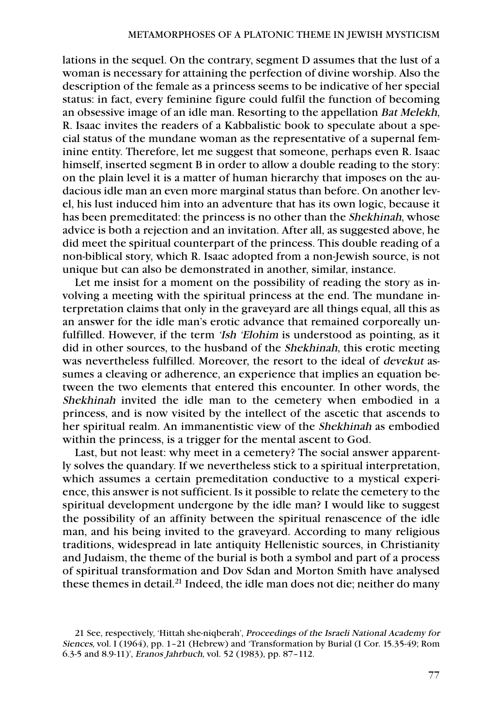lations in the sequel. On the contrary, segment D assumes that the lust of a woman is necessary for attaining the perfection of divine worship. Also the description of the female as a princess seems to be indicative of her special status: in fact, every feminine figure could fulfil the function of becoming an obsessive image of an idle man. Resorting to the appellation Bat Melekh, R. Isaac invites the readers of a Kabbalistic book to speculate about a special status of the mundane woman as the representative of a supernal feminine entity. Therefore, let me suggest that someone, perhaps even R. Isaac himself, inserted segment B in order to allow a double reading to the story: on the plain level it is a matter of human hierarchy that imposes on the audacious idle man an even more marginal status than before. On another level, his lust induced him into an adventure that has its own logic, because it has been premeditated: the princess is no other than the Shekhinah, whose advice is both a rejection and an invitation. After all, as suggested above, he did meet the spiritual counterpart of the princess. This double reading of a non-biblical story, which R. Isaac adopted from a non-Jewish source, is not unique but can also be demonstrated in another, similar, instance.

Let me insist for a moment on the possibility of reading the story as involving a meeting with the spiritual princess at the end. The mundane interpretation claims that only in the graveyard are all things equal, all this as an answer for the idle man's erotic advance that remained corporeally unfulfilled. However, if the term 'Ish 'Elohim is understood as pointing, as it did in other sources, to the husband of the Shekhinah, this erotic meeting was nevertheless fulfilled. Moreover, the resort to the ideal of devekut assumes a cleaving or adherence, an experience that implies an equation between the two elements that entered this encounter. In other words, the Shekhinah invited the idle man to the cemetery when embodied in a princess, and is now visited by the intellect of the ascetic that ascends to her spiritual realm. An immanentistic view of the Shekhinah as embodied within the princess, is a trigger for the mental ascent to God.

Last, but not least: why meet in a cemetery? The social answer apparently solves the quandary. If we nevertheless stick to a spiritual interpretation, which assumes a certain premeditation conductive to a mystical experience, this answer is not sufficient. Is it possible to relate the cemetery to the spiritual development undergone by the idle man? I would like to suggest the possibility of an affinity between the spiritual renascence of the idle man, and his being invited to the graveyard. According to many religious traditions, widespread in late antiquity Hellenistic sources, in Christianity and Judaism, the theme of the burial is both a symbol and part of a process of spiritual transformation and Dov Sdan and Morton Smith have analysed these themes in detail.<sup>21</sup> Indeed, the idle man does not die; neither do many

<sup>21</sup> See, respectively, 'Hittah she-niqberah', Proceedings of the Israeli National Academy for Siences, vol. I (1964), pp. 1–21 (Hebrew) and 'Transformation by Burial (I Cor. 15.35-49; Rom 6.3-5 and 8.9-11)', Eranos Jahrbuch, vol. 52 (1983), pp. 87–112.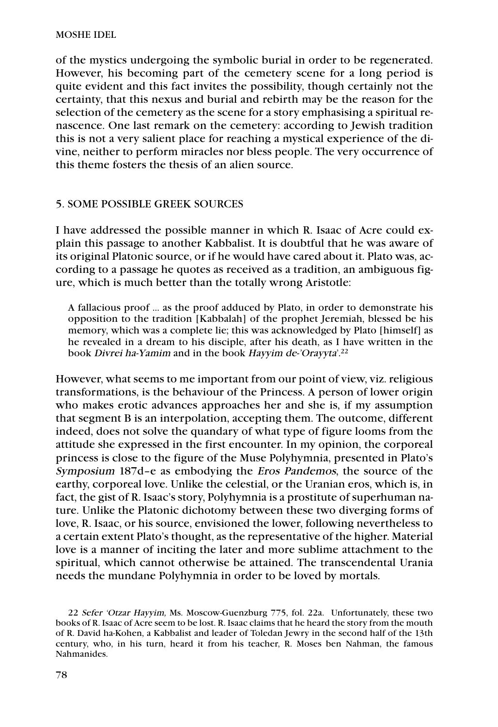of the mystics undergoing the symbolic burial in order to be regenerated. However, his becoming part of the cemetery scene for a long period is quite evident and this fact invites the possibility, though certainly not the certainty, that this nexus and burial and rebirth may be the reason for the selection of the cemetery as the scene for a story emphasising a spiritual renascence. One last remark on the cemetery: according to Jewish tradition this is not a very salient place for reaching a mystical experience of the divine, neither to perform miracles nor bless people. The very occurrence of this theme fosters the thesis of an alien source.

# 5. SOME POSSIBLE GREEK SOURCES

I have addressed the possible manner in which R. Isaac of Acre could explain this passage to another Kabbalist. It is doubtful that he was aware of its original Platonic source, or if he would have cared about it. Plato was, according to a passage he quotes as received as a tradition, an ambiguous figure, which is much better than the totally wrong Aristotle:

A fallacious proof … as the proof adduced by Plato, in order to demonstrate his opposition to the tradition [Kabbalah] of the prophet Jeremiah, blessed be his memory, which was a complete lie; this was acknowledged by Plato [himself] as he revealed in a dream to his disciple, after his death, as I have written in the book *Divrei ha-Yamim* and in the book *Hayyim de-'Orayyta*'.<sup>22</sup>

However, what seems to me important from our point of view, viz. religious transformations, is the behaviour of the Princess. A person of lower origin who makes erotic advances approaches her and she is, if my assumption that segment B is an interpolation, accepting them. The outcome, different indeed, does not solve the quandary of what type of figure looms from the attitude she expressed in the first encounter. In my opinion, the corporeal princess is close to the figure of the Muse Polyhymnia, presented in Plato's Symposium 187d–e as embodying the Eros Pandemos, the source of the earthy, corporeal love. Unlike the celestial, or the Uranian eros, which is, in fact, the gist of R. Isaac's story, Polyhymnia is a prostitute of superhuman nature. Unlike the Platonic dichotomy between these two diverging forms of love, R. Isaac, or his source, envisioned the lower, following nevertheless to a certain extent Plato's thought, as the representative of the higher. Material love is a manner of inciting the later and more sublime attachment to the spiritual, which cannot otherwise be attained. The transcendental Urania needs the mundane Polyhymnia in order to be loved by mortals.

22 Sefer 'Otzar Hayyim, Ms. Moscow-Guenzburg 775, fol. 22a. Unfortunately, these two books of R. Isaac of Acre seem to be lost. R. Isaac claims that he heard the story from the mouth of R. David ha-Kohen, a Kabbalist and leader of Toledan Jewry in the second half of the 13th century, who, in his turn, heard it from his teacher, R. Moses ben Nahman, the famous Nahmanides.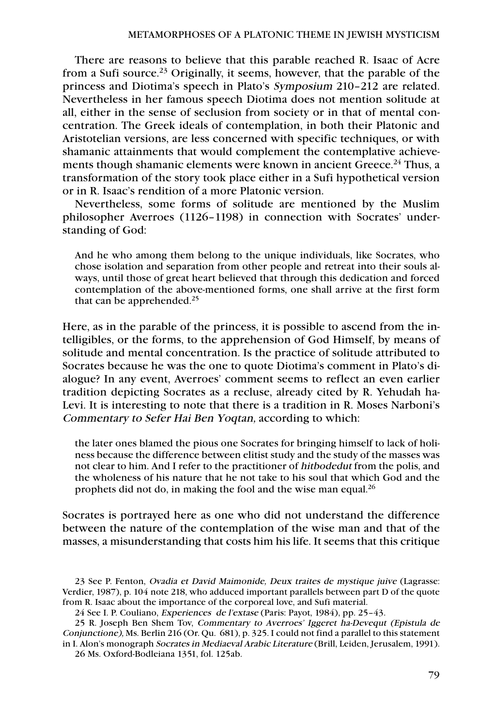There are reasons to believe that this parable reached R. Isaac of Acre from a Sufi source.23 Originally, it seems, however, that the parable of the princess and Diotima's speech in Plato's Symposium 210–212 are related. Nevertheless in her famous speech Diotima does not mention solitude at all, either in the sense of seclusion from society or in that of mental concentration. The Greek ideals of contemplation, in both their Platonic and Aristotelian versions, are less concerned with specific techniques, or with shamanic attainments that would complement the contemplative achievements though shamanic elements were known in ancient Greece.<sup>24</sup> Thus, a transformation of the story took place either in a Sufi hypothetical version or in R. Isaac's rendition of a more Platonic version.

Nevertheless, some forms of solitude are mentioned by the Muslim philosopher Averroes (1126–1198) in connection with Socrates' understanding of God:

And he who among them belong to the unique individuals, like Socrates, who chose isolation and separation from other people and retreat into their souls always, until those of great heart believed that through this dedication and forced contemplation of the above-mentioned forms, one shall arrive at the first form that can be apprehended.25

Here, as in the parable of the princess, it is possible to ascend from the intelligibles, or the forms, to the apprehension of God Himself, by means of solitude and mental concentration. Is the practice of solitude attributed to Socrates because he was the one to quote Diotima's comment in Plato's dialogue? In any event, Averroes' comment seems to reflect an even earlier tradition depicting Socrates as a recluse, already cited by R. Yehudah ha-Levi. It is interesting to note that there is a tradition in R. Moses Narboni's Commentary to Sefer Hai Ben Yoqtan, according to which:

the later ones blamed the pious one Socrates for bringing himself to lack of holiness because the difference between elitist study and the study of the masses was not clear to him. And I refer to the practitioner of hitbodedut from the polis, and the wholeness of his nature that he not take to his soul that which God and the prophets did not do, in making the fool and the wise man equal.26

Socrates is portrayed here as one who did not understand the difference between the nature of the contemplation of the wise man and that of the masses, a misunderstanding that costs him his life. It seems that this critique

<sup>23</sup> See P. Fenton, Ovadia et David Maimonide, Deux traites de mystique juive (Lagrasse: Verdier, 1987), p. 104 note 218, who adduced important parallels between part D of the quote from R. Isaac about the importance of the corporeal love, and Sufi material.

<sup>24</sup> See I. P. Couliano, Experiences de l'extase (Paris: Payot, 1984), pp. 25–43.

<sup>25</sup> R. Joseph Ben Shem Tov, Commentary to Averroes' Iggeret ha-Devequt (Epistula de Conjunctione), Ms. Berlin 216 (Or. Qu. 681), p. 325. I could not find a parallel to this statement in I. Alon's monograph Socrates in Mediaeval Arabic Literature (Brill, Leiden, Jerusalem, 1991). 26 Ms. Oxford-Bodleiana 1351, fol. 125ab.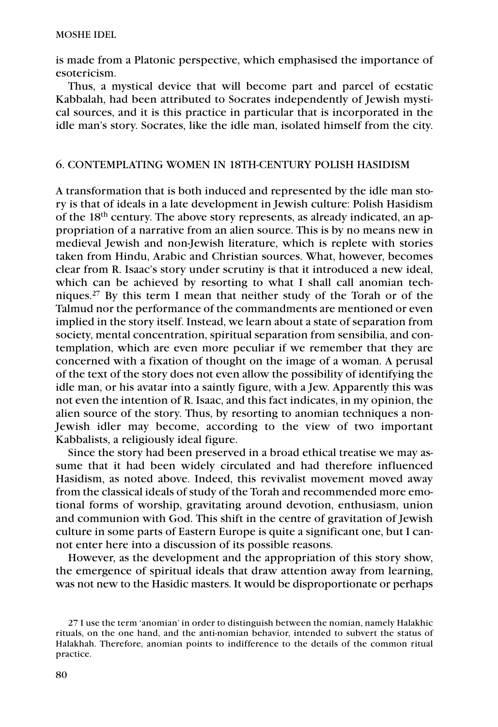is made from a Platonic perspective, which emphasised the importance of esotericism.

Thus, a mystical device that will become part and parcel of ecstatic Kabbalah, had been attributed to Socrates independently of Jewish mystical sources, and it is this practice in particular that is incorporated in the idle man's story. Socrates, like the idle man, isolated himself from the city.

#### 6. CONTEMPLATING WOMEN IN 18TH-CENTURY POLISH HASIDISM

A transformation that is both induced and represented by the idle man story is that of ideals in a late development in Jewish culture: Polish Hasidism of the 18th century. The above story represents, as already indicated, an appropriation of a narrative from an alien source. This is by no means new in medieval Jewish and non-Jewish literature, which is replete with stories taken from Hindu, Arabic and Christian sources. What, however, becomes clear from R. Isaac's story under scrutiny is that it introduced a new ideal, which can be achieved by resorting to what I shall call anomian techniques.27 By this term I mean that neither study of the Torah or of the Talmud nor the performance of the commandments are mentioned or even implied in the story itself. Instead, we learn about a state of separation from society, mental concentration, spiritual separation from sensibilia, and contemplation, which are even more peculiar if we remember that they are concerned with a fixation of thought on the image of a woman. A perusal of the text of the story does not even allow the possibility of identifying the idle man, or his avatar into a saintly figure, with a Jew. Apparently this was not even the intention of R. Isaac, and this fact indicates, in my opinion, the alien source of the story. Thus, by resorting to anomian techniques a non-Jewish idler may become, according to the view of two important Kabbalists, a religiously ideal figure.

Since the story had been preserved in a broad ethical treatise we may assume that it had been widely circulated and had therefore influenced Hasidism, as noted above. Indeed, this revivalist movement moved away from the classical ideals of study of the Torah and recommended more emotional forms of worship, gravitating around devotion, enthusiasm, union and communion with God. This shift in the centre of gravitation of Jewish culture in some parts of Eastern Europe is quite a significant one, but I cannot enter here into a discussion of its possible reasons.

However, as the development and the appropriation of this story show, the emergence of spiritual ideals that draw attention away from learning, was not new to the Hasidic masters. It would be disproportionate or perhaps

<sup>27</sup> I use the term 'anomian' in order to distinguish between the nomian, namely Halakhic rituals, on the one hand, and the anti-nomian behavior, intended to subvert the status of Halakhah. Therefore, anomian points to indifference to the details of the common ritual practice.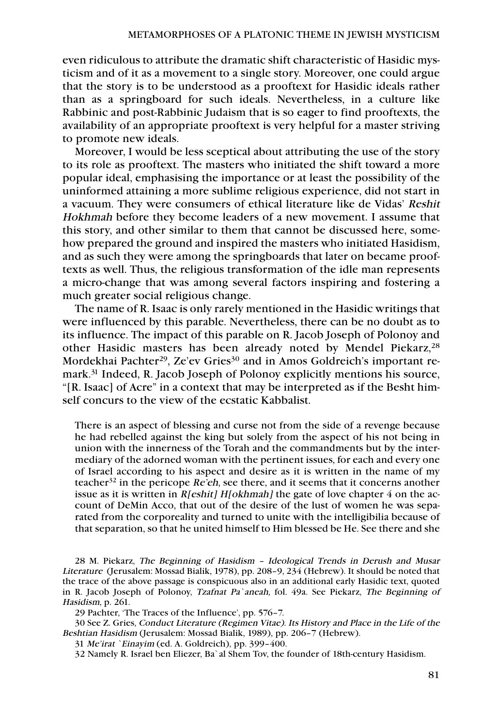even ridiculous to attribute the dramatic shift characteristic of Hasidic mysticism and of it as a movement to a single story. Moreover, one could argue that the story is to be understood as a prooftext for Hasidic ideals rather than as a springboard for such ideals. Nevertheless, in a culture like Rabbinic and post-Rabbinic Judaism that is so eager to find prooftexts, the availability of an appropriate prooftext is very helpful for a master striving to promote new ideals.

Moreover, I would be less sceptical about attributing the use of the story to its role as prooftext. The masters who initiated the shift toward a more popular ideal, emphasising the importance or at least the possibility of the uninformed attaining a more sublime religious experience, did not start in a vacuum. They were consumers of ethical literature like de Vidas' Reshit Hokhmah before they become leaders of a new movement. I assume that this story, and other similar to them that cannot be discussed here, somehow prepared the ground and inspired the masters who initiated Hasidism, and as such they were among the springboards that later on became prooftexts as well. Thus, the religious transformation of the idle man represents a micro-change that was among several factors inspiring and fostering a much greater social religious change.

The name of R. Isaac is only rarely mentioned in the Hasidic writings that were influenced by this parable. Nevertheless, there can be no doubt as to its influence. The impact of this parable on R. Jacob Joseph of Polonoy and other Hasidic masters has been already noted by Mendel Piekarz,<sup>28</sup> Mordekhai Pachter<sup>29</sup>, Ze'ev Gries<sup>30</sup> and in Amos Goldreich's important remark. <sup>31</sup> Indeed, R. Jacob Joseph of Polonoy explicitly mentions his source, "[R. Isaac] of Acre" in a context that may be interpreted as if the Besht himself concurs to the view of the ecstatic Kabbalist.

There is an aspect of blessing and curse not from the side of a revenge because he had rebelled against the king but solely from the aspect of his not being in union with the innerness of the Torah and the commandments but by the intermediary of the adorned woman with the pertinent issues, for each and every one of Israel according to his aspect and desire as it is written in the name of my teacher<sup>32</sup> in the pericope  $Re'eh$ , see there, and it seems that it concerns another issue as it is written in  $R[eshit] H[okhmah]$  the gate of love chapter 4 on the account of DeMin Acco, that out of the desire of the lust of women he was separated from the corporeality and turned to unite with the intelligibilia because of that separation, so that he united himself to Him blessed be He. See there and she

28 M. Piekarz, The Beginning of Hasidism – Ideological Trends in Derush and Musar Literature (Jerusalem: Mossad Bialik, 1978), pp. 208–9, 234 (Hebrew). It should be noted that the trace of the above passage is conspicuous also in an additional early Hasidic text, quoted in R. Jacob Joseph of Polonoy, Tzafnat Pa`aneah, fol. 49a. See Piekarz, The Beginning of Hasidism, p. 261.

29 Pachter, 'The Traces of the Influence', pp. 576–7.

30 See Z. Gries, Conduct Literature (Regimen Vitae). Its History and Place in the Life of the Beshtian Hasidism (Jerusalem: Mossad Bialik, 1989), pp. 206–7 (Hebrew).

31 Me'irat `Einayim (ed. A. Goldreich), pp. 399–400.

32 Namely R. Israel ben Eliezer, Ba`al Shem Tov, the founder of 18th-century Hasidism.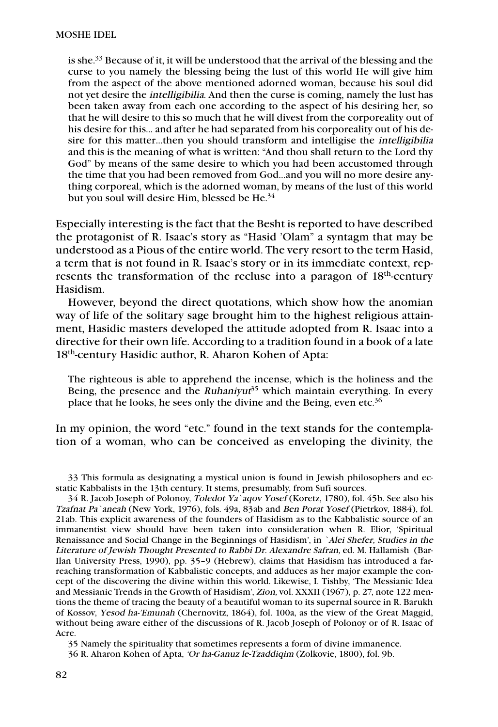is she.33 Because of it, it will be understood that the arrival of the blessing and the curse to you namely the blessing being the lust of this world He will give him from the aspect of the above mentioned adorned woman, because his soul did not yet desire the intelligibilia. And then the curse is coming, namely the lust has been taken away from each one according to the aspect of his desiring her, so that he will desire to this so much that he will divest from the corporeality out of his desire for this… and after he had separated from his corporeality out of his desire for this matter…then you should transform and intelligise the intelligibilia and this is the meaning of what is written: "And thou shall return to the Lord thy God" by means of the same desire to which you had been accustomed through the time that you had been removed from God…and you will no more desire anything corporeal, which is the adorned woman, by means of the lust of this world but you soul will desire Him, blessed be He.<sup>34</sup>

Especially interesting is the fact that the Besht is reported to have described the protagonist of R. Isaac's story as "Hasid 'Olam" a syntagm that may be understood as a Pious of the entire world. The very resort to the term Hasid, a term that is not found in R. Isaac's story or in its immediate context, represents the transformation of the recluse into a paragon of 18th-century Hasidism.

However, beyond the direct quotations, which show how the anomian way of life of the solitary sage brought him to the highest religious attainment, Hasidic masters developed the attitude adopted from R. Isaac into a directive for their own life. According to a tradition found in a book of a late 18th-century Hasidic author, R. Aharon Kohen of Apta:

The righteous is able to apprehend the incense, which is the holiness and the Being, the presence and the *Ruhaniyut*<sup>35</sup> which maintain everything. In every place that he looks, he sees only the divine and the Being, even etc.<sup>36</sup>

In my opinion, the word "etc." found in the text stands for the contemplation of a woman, who can be conceived as enveloping the divinity, the

33 This formula as designating a mystical union is found in Jewish philosophers and ecstatic Kabbalists in the 13th century. It stems, presumably, from Sufi sources.

34 R. Jacob Joseph of Polonoy, Toledot Ya`aqov Yosef (Koretz, 1780), fol. 45b. See also his Tzafnat Pa`aneah (New York, 1976), fols. 49a, 83ab and Ben Porat Yosef (Pietrkov, 1884), fol. 21ab. This explicit awareness of the founders of Hasidism as to the Kabbalistic source of an immanentist view should have been taken into consideration when R. Elior, 'Spiritual Renaissance and Social Change in the Beginnings of Hasidism', in `Alei Shefer, Studies in the Literature of Jewish Thought Presented to Rabbi Dr. Alexandre Safran, ed. M. Hallamish (Bar-Ilan University Press, 1990), pp. 35–9 (Hebrew), claims that Hasidism has introduced a farreaching transformation of Kabbalistic concepts, and adduces as her major example the concept of the discovering the divine within this world. Likewise, I. Tishby, 'The Messianic Idea and Messianic Trends in the Growth of Hasidism', Zion, vol. XXXII (1967), p. 27, note 122 mentions the theme of tracing the beauty of a beautiful woman to its supernal source in R. Barukh of Kossov, Yesod ha-'Emunah (Chernovitz, 1864), fol. 100a, as the view of the Great Maggid, without being aware either of the discussions of R. Jacob Joseph of Polonoy or of R. Isaac of Acre.

35 Namely the spirituality that sometimes represents a form of divine immanence.

36 R. Aharon Kohen of Apta, 'Or ha-Ganuz le-Tzaddiqim (Zolkovie, 1800), fol. 9b.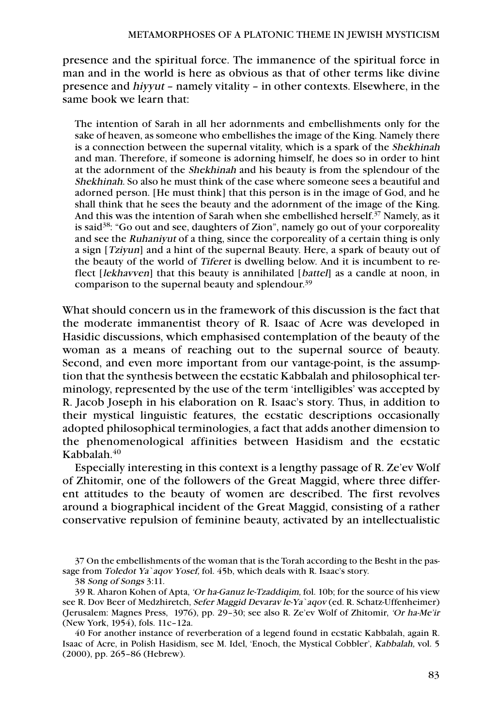presence and the spiritual force. The immanence of the spiritual force in man and in the world is here as obvious as that of other terms like divine presence and hiyyut – namely vitality – in other contexts. Elsewhere, in the same book we learn that:

The intention of Sarah in all her adornments and embellishments only for the sake of heaven, as someone who embellishes the image of the King. Namely there is a connection between the supernal vitality, which is a spark of the Shekhinah and man. Therefore, if someone is adorning himself, he does so in order to hint at the adornment of the Shekhinah and his beauty is from the splendour of the Shekhinah. So also he must think of the case where someone sees a beautiful and adorned person. [He must think] that this person is in the image of God, and he shall think that he sees the beauty and the adornment of the image of the King. And this was the intention of Sarah when she embellished herself. $37$  Namely, as it is said<sup>38</sup>: "Go out and see, daughters of Zion", namely go out of your corporeality and see the Ruhaniyut of a thing, since the corporeality of a certain thing is only a sign [Tziyun] and a hint of the supernal Beauty. Here, a spark of beauty out of the beauty of the world of Tiferet is dwelling below. And it is incumbent to reflect [lekhavven] that this beauty is annihilated [battel] as a candle at noon, in comparison to the supernal beauty and splendour. 39

What should concern us in the framework of this discussion is the fact that the moderate immanentist theory of R. Isaac of Acre was developed in Hasidic discussions, which emphasised contemplation of the beauty of the woman as a means of reaching out to the supernal source of beauty. Second, and even more important from our vantage-point, is the assumption that the synthesis between the ecstatic Kabbalah and philosophical terminology, represented by the use of the term 'intelligibles' was accepted by R. Jacob Joseph in his elaboration on R. Isaac's story. Thus, in addition to their mystical linguistic features, the ecstatic descriptions occasionally adopted philosophical terminologies, a fact that adds another dimension to the phenomenological affinities between Hasidism and the ecstatic Kabbalah.40

Especially interesting in this context is a lengthy passage of R. Ze'ev Wolf of Zhitomir, one of the followers of the Great Maggid, where three different attitudes to the beauty of women are described. The first revolves around a biographical incident of the Great Maggid, consisting of a rather conservative repulsion of feminine beauty, activated by an intellectualistic

37 On the embellishments of the woman that is the Torah according to the Besht in the passage from Toledot Ya`aqov Yosef, fol. 45b, which deals with R. Isaac's story.

39 R. Aharon Kohen of Apta, 'Or ha-Ganuz le-Tzaddiqim, fol. 10b; for the source of his view see R. Dov Beer of Medzhiretch, Sefer Maggid Devarav le-Ya`aqov (ed. R. Schatz-Uffenheimer) (Jerusalem: Magnes Press, 1976), pp. 29–30; see also R. Ze'ev Wolf of Zhitomir, 'Or ha-Me'ir (New York, 1954), fols. 11c–12a.

40 For another instance of reverberation of a legend found in ecstatic Kabbalah, again R. Isaac of Acre, in Polish Hasidism, see M. Idel, 'Enoch, the Mystical Cobbler', Kabbalah, vol. 5 (2000), pp. 265–86 (Hebrew).

<sup>38</sup> Song of Songs 3:11.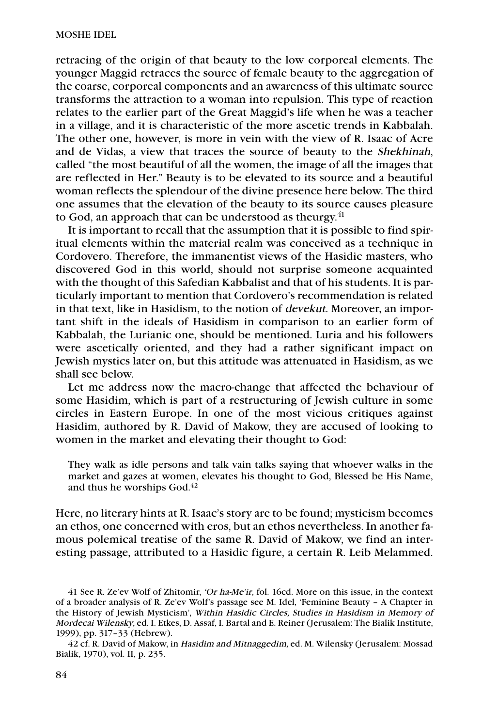retracing of the origin of that beauty to the low corporeal elements. The younger Maggid retraces the source of female beauty to the aggregation of the coarse, corporeal components and an awareness of this ultimate source transforms the attraction to a woman into repulsion. This type of reaction relates to the earlier part of the Great Maggid's life when he was a teacher in a village, and it is characteristic of the more ascetic trends in Kabbalah. The other one, however, is more in vein with the view of R. Isaac of Acre and de Vidas, a view that traces the source of beauty to the Shekhinah, called "the most beautiful of all the women, the image of all the images that are reflected in Her." Beauty is to be elevated to its source and a beautiful woman reflects the splendour of the divine presence here below. The third one assumes that the elevation of the beauty to its source causes pleasure to God, an approach that can be understood as theurgy. $^{41}$ 

It is important to recall that the assumption that it is possible to find spiritual elements within the material realm was conceived as a technique in Cordovero. Therefore, the immanentist views of the Hasidic masters, who discovered God in this world, should not surprise someone acquainted with the thought of this Safedian Kabbalist and that of his students. It is particularly important to mention that Cordovero's recommendation is related in that text, like in Hasidism, to the notion of devekut. Moreover, an important shift in the ideals of Hasidism in comparison to an earlier form of Kabbalah, the Lurianic one, should be mentioned. Luria and his followers were ascetically oriented, and they had a rather significant impact on Jewish mystics later on, but this attitude was attenuated in Hasidism, as we shall see below.

Let me address now the macro-change that affected the behaviour of some Hasidim, which is part of a restructuring of Jewish culture in some circles in Eastern Europe. In one of the most vicious critiques against Hasidim, authored by R. David of Makow, they are accused of looking to women in the market and elevating their thought to God:

They walk as idle persons and talk vain talks saying that whoever walks in the market and gazes at women, elevates his thought to God, Blessed be His Name, and thus he worships God.<sup>42</sup>

Here, no literary hints at R. Isaac's story are to be found; mysticism becomes an ethos, one concerned with eros, but an ethos nevertheless. In another famous polemical treatise of the same R. David of Makow, we find an interesting passage, attributed to a Hasidic figure, a certain R. Leib Melammed.

<sup>41</sup> See R. Ze'ev Wolf of Zhitomir, 'Or ha-Me'ir, fol. 16cd. More on this issue, in the context of a broader analysis of R. Ze'ev Wolf's passage see M. Idel, 'Feminine Beauty – A Chapter in the History of Jewish Mysticism', Within Hasidic Circles, Studies in Hasidism in Memory of Mordecai Wilensky, ed. I. Etkes, D. Assaf, I. Bartal and E. Reiner (Jerusalem: The Bialik Institute, 1999), pp. 317–33 (Hebrew).

<sup>42</sup> cf. R. David of Makow, in Hasidim and Mitnaggedim, ed. M. Wilensky (Jerusalem: Mossad Bialik, 1970), vol. II, p. 235.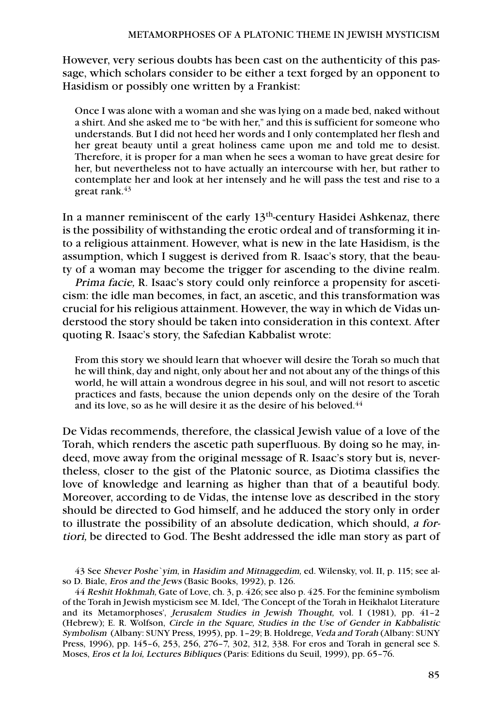However, very serious doubts has been cast on the authenticity of this passage, which scholars consider to be either a text forged by an opponent to Hasidism or possibly one written by a Frankist:

Once I was alone with a woman and she was lying on a made bed, naked without a shirt. And she asked me to "be with her," and this is sufficient for someone who understands. But I did not heed her words and I only contemplated her flesh and her great beauty until a great holiness came upon me and told me to desist. Therefore, it is proper for a man when he sees a woman to have great desire for her, but nevertheless not to have actually an intercourse with her, but rather to contemplate her and look at her intensely and he will pass the test and rise to a great rank. 43

In a manner reminiscent of the early 13<sup>th</sup>-century Hasidei Ashkenaz, there is the possibility of withstanding the erotic ordeal and of transforming it into a religious attainment. However, what is new in the late Hasidism, is the assumption, which I suggest is derived from R. Isaac's story, that the beauty of a woman may become the trigger for ascending to the divine realm.

Prima facie, R. Isaac's story could only reinforce a propensity for asceticism: the idle man becomes, in fact, an ascetic, and this transformation was crucial for his religious attainment. However, the way in which de Vidas understood the story should be taken into consideration in this context. After quoting R. Isaac's story, the Safedian Kabbalist wrote:

From this story we should learn that whoever will desire the Torah so much that he will think, day and night, only about her and not about any of the things of this world, he will attain a wondrous degree in his soul, and will not resort to ascetic practices and fasts, because the union depends only on the desire of the Torah and its love, so as he will desire it as the desire of his beloved.<sup>44</sup>

De Vidas recommends, therefore, the classical Jewish value of a love of the Torah, which renders the ascetic path superfluous. By doing so he may, indeed, move away from the original message of R. Isaac's story but is, nevertheless, closer to the gist of the Platonic source, as Diotima classifies the love of knowledge and learning as higher than that of a beautiful body. Moreover, according to de Vidas, the intense love as described in the story should be directed to God himself, and he adduced the story only in order to illustrate the possibility of an absolute dedication, which should, a fortiori, be directed to God. The Besht addressed the idle man story as part of

43 See Shever Poshe`yim, in Hasidim and Mitnaggedim, ed. Wilensky, vol. II, p. 115; see also D. Biale, Eros and the Jews (Basic Books, 1992), p. 126.

44 Reshit Hokhmah, Gate of Love, ch. 3, p. 426; see also p. 425. For the feminine symbolism of the Torah in Jewish mysticism see M. Idel, 'The Concept of the Torah in Heikhalot Literature and its Metamorphoses', Jerusalem Studies in Jewish Thought, vol. I (1981), pp. 41–2 (Hebrew); E. R. Wolfson, Circle in the Square, Studies in the Use of Gender in Kabbalistic Symbolism (Albany: SUNY Press, 1995), pp. 1–29; B. Holdrege, Veda and Torah (Albany: SUNY Press, 1996), pp. 145–6, 253, 256, 276–7, 302, 312, 338. For eros and Torah in general see S. Moses, Eros et la loi, Lectures Bibliques (Paris: Editions du Seuil, 1999), pp. 65–76.